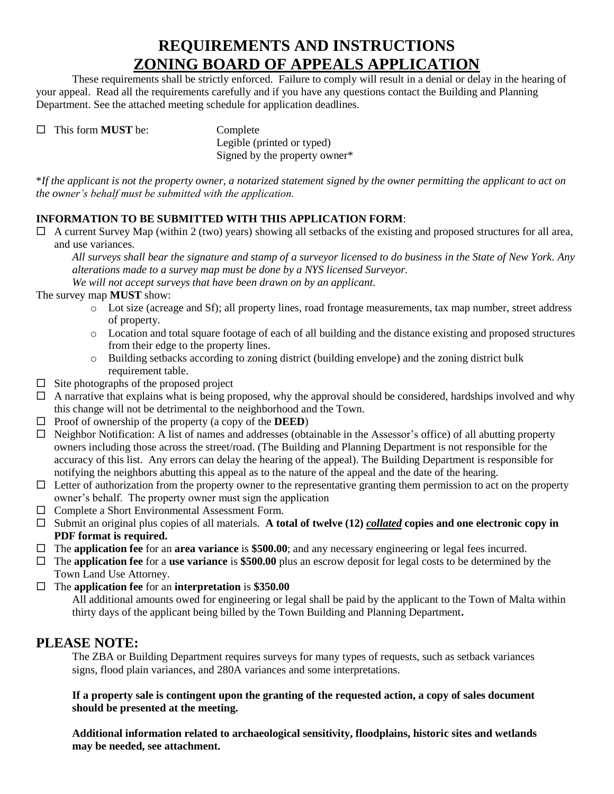## **REQUIREMENTS AND INSTRUCTIONS ZONING BOARD OF APPEALS APPLICATION**

These requirements shall be strictly enforced. Failure to comply will result in a denial or delay in the hearing of your appeal. Read all the requirements carefully and if you have any questions contact the Building and Planning Department. See the attached meeting schedule for application deadlines.

□ This form **MUST** be: Complete

Legible (printed or typed) Signed by the property owner\*

\**If the applicant is not the property owner, a notarized statement signed by the owner permitting the applicant to act on the owner's behalf must be submitted with the application.* 

#### **INFORMATION TO BE SUBMITTED WITH THIS APPLICATION FORM**:

 $\Box$  A current Survey Map (within 2 (two) years) showing all setbacks of the existing and proposed structures for all area, and use variances.

*All surveys shall bear the signature and stamp of a surveyor licensed to do business in the State of New York. Any alterations made to a survey map must be done by a NYS licensed Surveyor.* 

*We will not accept surveys that have been drawn on by an applicant.*

The survey map **MUST** show:

- o Lot size (acreage and Sf); all property lines, road frontage measurements, tax map number, street address of property.
- o Location and total square footage of each of all building and the distance existing and proposed structures from their edge to the property lines.
- o Building setbacks according to zoning district (building envelope) and the zoning district bulk requirement table.
- $\Box$  Site photographs of the proposed project
- $\Box$  A narrative that explains what is being proposed, why the approval should be considered, hardships involved and why this change will not be detrimental to the neighborhood and the Town.
- $\Box$  Proof of ownership of the property (a copy of the **DEED**)
- $\Box$  Neighbor Notification: A list of names and addresses (obtainable in the Assessor's office) of all abutting property owners including those across the street/road. (The Building and Planning Department is not responsible for the accuracy of this list. Any errors can delay the hearing of the appeal). The Building Department is responsible for notifying the neighbors abutting this appeal as to the nature of the appeal and the date of the hearing.
- $\Box$  Letter of authorization from the property owner to the representative granting them permission to act on the property owner's behalf. The property owner must sign the application
- □ Complete a Short Environmental Assessment Form.
- $\Box$  Submit an original plus copies of all materials. A total of twelve (12) *collated* copies and one electronic copy in **PDF format is required.**
- The **application fee** for an **area variance** is **\$500.00**; and any necessary engineering or legal fees incurred.
- The **application fee** for a **use variance** is **\$500.00** plus an escrow deposit for legal costs to be determined by the Town Land Use Attorney.
- The **application fee** for an **interpretation** is **\$350.00**

All additional amounts owed for engineering or legal shall be paid by the applicant to the Town of Malta within thirty days of the applicant being billed by the Town Building and Planning Department**.**

### **PLEASE NOTE:**

The ZBA or Building Department requires surveys for many types of requests, such as setback variances signs, flood plain variances, and 280A variances and some interpretations.

#### **If a property sale is contingent upon the granting of the requested action, a copy of sales document should be presented at the meeting.**

**Additional information related to archaeological sensitivity, floodplains, historic sites and wetlands may be needed, see attachment.**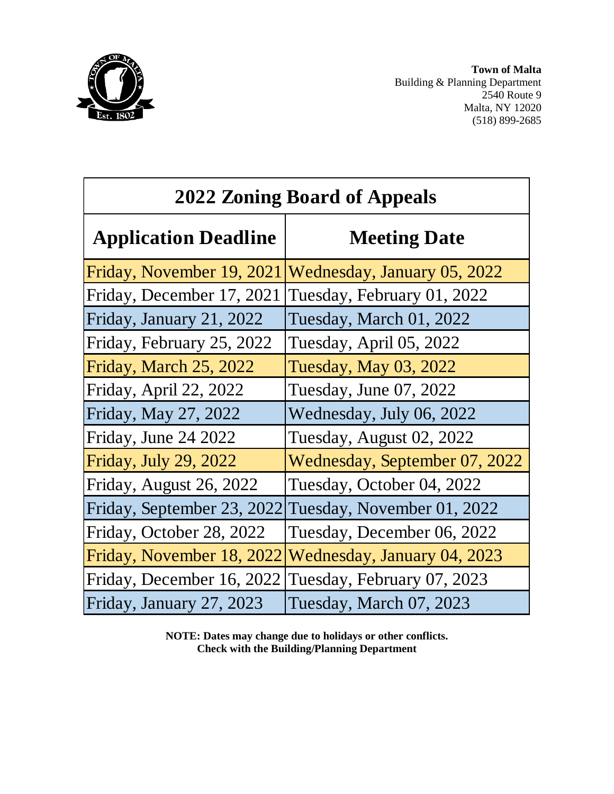

**Town of Malta** Building & Planning Department 2540 Route 9 Malta, NY 12020 (518) 899-2685

| <b>2022 Zoning Board of Appeals</b> |                               |  |
|-------------------------------------|-------------------------------|--|
| <b>Application Deadline</b>         | <b>Meeting Date</b>           |  |
| Friday, November 19, 2021           | Wednesday, January 05, 2022   |  |
| Friday, December 17, 2021           | Tuesday, February 01, 2022    |  |
| Friday, January 21, 2022            | Tuesday, March 01, 2022       |  |
| Friday, February 25, 2022           | Tuesday, April 05, 2022       |  |
| Friday, March 25, 2022              | <b>Tuesday, May 03, 2022</b>  |  |
| Friday, April 22, 2022              | Tuesday, June 07, 2022        |  |
| Friday, May 27, 2022                | Wednesday, July 06, 2022      |  |
| Friday, June 24 2022                | Tuesday, August 02, 2022      |  |
| Friday, July 29, 2022               | Wednesday, September 07, 2022 |  |
| Friday, August 26, 2022             | Tuesday, October 04, 2022     |  |
| Friday, September 23, 2022          | Tuesday, November 01, 2022    |  |
| Friday, October 28, 2022            | Tuesday, December 06, 2022    |  |
| Friday, November 18, 2022           | Wednesday, January 04, 2023   |  |
| Friday, December 16, 2022           | Tuesday, February 07, 2023    |  |
| Friday, January 27, 2023            | Tuesday, March 07, 2023       |  |

**NOTE: Dates may change due to holidays or other conflicts. Check with the Building/Planning Department**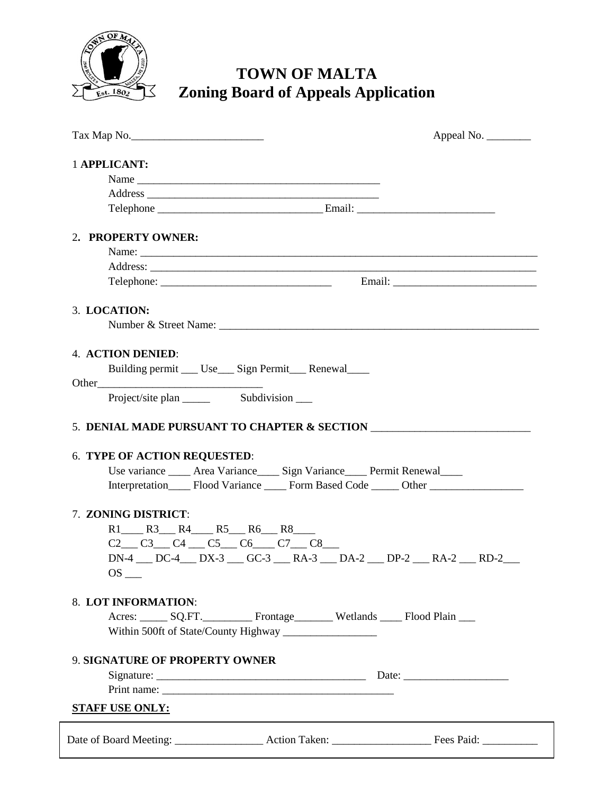

# **TOWN OF MALTA Zoning Board of Appeals Application**

|                                                                                                                                                                                                                             | Appeal No. |
|-----------------------------------------------------------------------------------------------------------------------------------------------------------------------------------------------------------------------------|------------|
| 1 APPLICANT:                                                                                                                                                                                                                |            |
|                                                                                                                                                                                                                             |            |
|                                                                                                                                                                                                                             |            |
|                                                                                                                                                                                                                             |            |
| 2. PROPERTY OWNER:                                                                                                                                                                                                          |            |
|                                                                                                                                                                                                                             |            |
|                                                                                                                                                                                                                             |            |
|                                                                                                                                                                                                                             |            |
| 3. LOCATION:                                                                                                                                                                                                                |            |
|                                                                                                                                                                                                                             |            |
| <b>4. ACTION DENIED:</b>                                                                                                                                                                                                    |            |
| Building permit _____ Use_____ Sign Permit ______ Renewal                                                                                                                                                                   |            |
|                                                                                                                                                                                                                             |            |
|                                                                                                                                                                                                                             |            |
| 5. DENIAL MADE PURSUANT TO CHAPTER & SECTION                                                                                                                                                                                |            |
| <b>6. TYPE OF ACTION REQUESTED:</b><br>Use variance _____ Area Variance ____ Sign Variance ____ Permit Renewal ____<br>Interpretation_______ Flood Variance _______ Form Based Code _______ Other _________________________ |            |
| 7. ZONING DISTRICT:                                                                                                                                                                                                         |            |
| $R1$ R3 R4 R5 R6 R8                                                                                                                                                                                                         |            |
| $C2_C C3_C C4_C C5_C C6_C C7_C C8_C$                                                                                                                                                                                        |            |
| DN-4 DC-4 DX-3 GC-3 RA-3 DA-2 DP-2 RA-2 RA-2 RD-2<br>$OS_$                                                                                                                                                                  |            |
| 8. LOT INFORMATION:                                                                                                                                                                                                         |            |
| Acres: SQ.FT. Frontage Wetlands Flood Plain                                                                                                                                                                                 |            |
|                                                                                                                                                                                                                             |            |
| <b>9. SIGNATURE OF PROPERTY OWNER</b>                                                                                                                                                                                       |            |
|                                                                                                                                                                                                                             |            |
|                                                                                                                                                                                                                             |            |
| <b>STAFF USE ONLY:</b>                                                                                                                                                                                                      |            |
|                                                                                                                                                                                                                             |            |
|                                                                                                                                                                                                                             |            |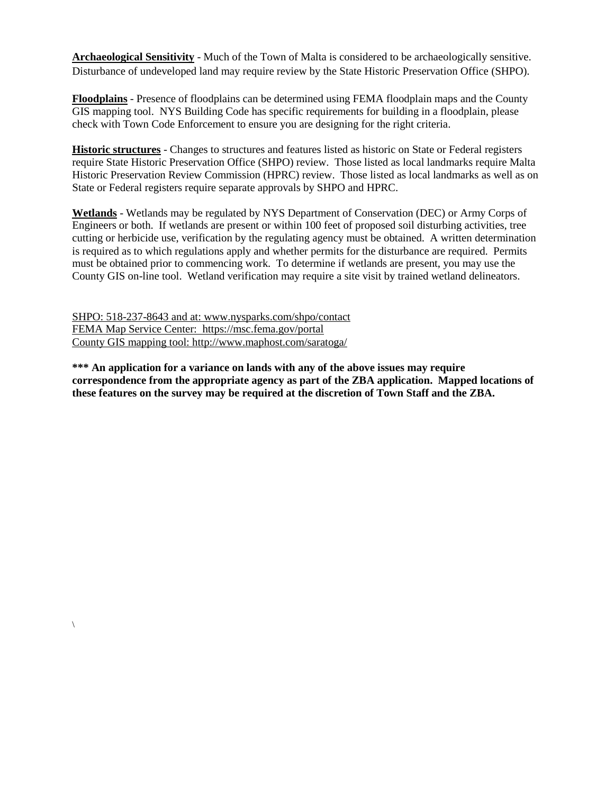**Archaeological Sensitivity** - Much of the Town of Malta is considered to be archaeologically sensitive. Disturbance of undeveloped land may require review by the State Historic Preservation Office (SHPO).

**Floodplains** - Presence of floodplains can be determined using FEMA floodplain maps and the County GIS mapping tool. NYS Building Code has specific requirements for building in a floodplain, please check with Town Code Enforcement to ensure you are designing for the right criteria.

**Historic structures** - Changes to structures and features listed as historic on State or Federal registers require State Historic Preservation Office (SHPO) review. Those listed as local landmarks require Malta Historic Preservation Review Commission (HPRC) review. Those listed as local landmarks as well as on State or Federal registers require separate approvals by SHPO and HPRC.

**Wetlands** - Wetlands may be regulated by NYS Department of Conservation (DEC) or Army Corps of Engineers or both. If wetlands are present or within 100 feet of proposed soil disturbing activities, tree cutting or herbicide use, verification by the regulating agency must be obtained. A written determination is required as to which regulations apply and whether permits for the disturbance are required. Permits must be obtained prior to commencing work. To determine if wetlands are present, you may use the County GIS on-line tool. Wetland verification may require a site visit by trained wetland delineators.

SHPO: 518-237-8643 and at: www.nysparks.com/shpo/contact FEMA Map Service Center: https://msc.fema.gov/portal County GIS mapping tool: http://www.maphost.com/saratoga/

 $\setminus$ 

**\*\*\* An application for a variance on lands with any of the above issues may require correspondence from the appropriate agency as part of the ZBA application. Mapped locations of these features on the survey may be required at the discretion of Town Staff and the ZBA.**